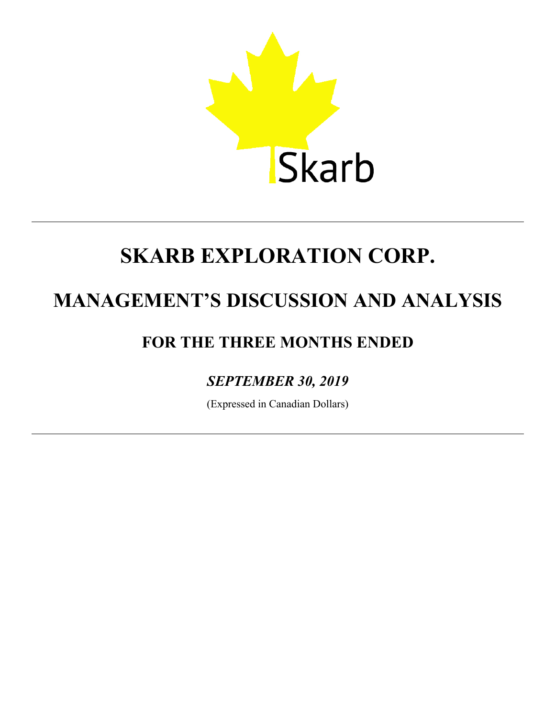

# **MANAGEMENT'S DISCUSSION AND ANALYSIS**

# **FOR THE THREE MONTHS ENDED**

# *SEPTEMBER 30, 2019*

(Expressed in Canadian Dollars)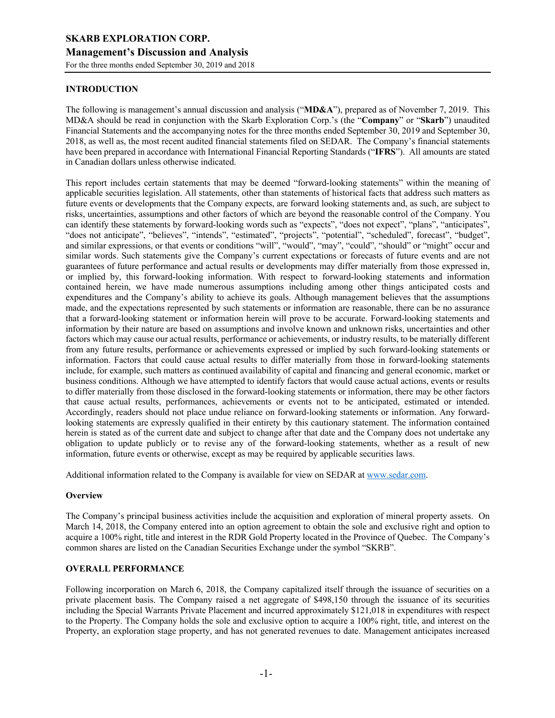# **INTRODUCTION**

The following is management's annual discussion and analysis ("**MD&A**"), prepared as of November 7, 2019. This MD&A should be read in conjunction with the Skarb Exploration Corp.'s (the "**Company**" or "**Skarb**") unaudited Financial Statements and the accompanying notes for the three months ended September 30, 2019 and September 30, 2018, as well as, the most recent audited financial statements filed on SEDAR. The Company's financial statements have been prepared in accordance with International Financial Reporting Standards ("**IFRS**"). All amounts are stated in Canadian dollars unless otherwise indicated.

This report includes certain statements that may be deemed "forward-looking statements" within the meaning of applicable securities legislation. All statements, other than statements of historical facts that address such matters as future events or developments that the Company expects, are forward looking statements and, as such, are subject to risks, uncertainties, assumptions and other factors of which are beyond the reasonable control of the Company. You can identify these statements by forward-looking words such as "expects", "does not expect", "plans", "anticipates", "does not anticipate", "believes", "intends", "estimated", "projects", "potential", "scheduled", forecast", "budget", and similar expressions, or that events or conditions "will", "would", "may", "could", "should" or "might" occur and similar words. Such statements give the Company's current expectations or forecasts of future events and are not guarantees of future performance and actual results or developments may differ materially from those expressed in, or implied by, this forward-looking information. With respect to forward-looking statements and information contained herein, we have made numerous assumptions including among other things anticipated costs and expenditures and the Company's ability to achieve its goals. Although management believes that the assumptions made, and the expectations represented by such statements or information are reasonable, there can be no assurance that a forward-looking statement or information herein will prove to be accurate. Forward-looking statements and information by their nature are based on assumptions and involve known and unknown risks, uncertainties and other factors which may cause our actual results, performance or achievements, or industry results, to be materially different from any future results, performance or achievements expressed or implied by such forward-looking statements or information. Factors that could cause actual results to differ materially from those in forward-looking statements include, for example, such matters as continued availability of capital and financing and general economic, market or business conditions. Although we have attempted to identify factors that would cause actual actions, events or results to differ materially from those disclosed in the forward-looking statements or information, there may be other factors that cause actual results, performances, achievements or events not to be anticipated, estimated or intended. Accordingly, readers should not place undue reliance on forward-looking statements or information. Any forwardlooking statements are expressly qualified in their entirety by this cautionary statement. The information contained herein is stated as of the current date and subject to change after that date and the Company does not undertake any obligation to update publicly or to revise any of the forward-looking statements, whether as a result of new information, future events or otherwise, except as may be required by applicable securities laws.

Additional information related to the Company is available for view on SEDAR at www.sedar.com.

# **Overview**

The Company's principal business activities include the acquisition and exploration of mineral property assets. On March 14, 2018, the Company entered into an option agreement to obtain the sole and exclusive right and option to acquire a 100% right, title and interest in the RDR Gold Property located in the Province of Quebec. The Company's common shares are listed on the Canadian Securities Exchange under the symbol "SKRB".

# **OVERALL PERFORMANCE**

Following incorporation on March 6, 2018, the Company capitalized itself through the issuance of securities on a private placement basis. The Company raised a net aggregate of \$498,150 through the issuance of its securities including the Special Warrants Private Placement and incurred approximately \$121,018 in expenditures with respect to the Property. The Company holds the sole and exclusive option to acquire a 100% right, title, and interest on the Property, an exploration stage property, and has not generated revenues to date. Management anticipates increased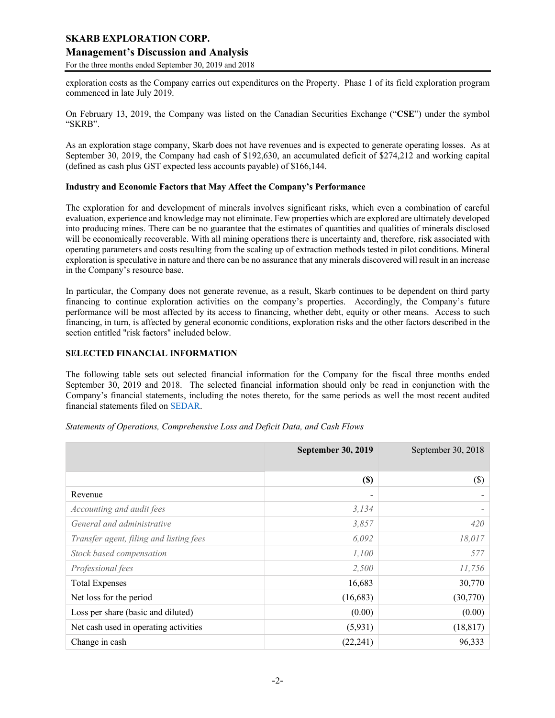# **Management's Discussion and Analysis**

For the three months ended September 30, 2019 and 2018

exploration costs as the Company carries out expenditures on the Property. Phase 1 of its field exploration program commenced in late July 2019.

On February 13, 2019, the Company was listed on the Canadian Securities Exchange ("**CSE**") under the symbol "SKRB".

As an exploration stage company, Skarb does not have revenues and is expected to generate operating losses. As at September 30, 2019, the Company had cash of \$192,630, an accumulated deficit of \$274,212 and working capital (defined as cash plus GST expected less accounts payable) of \$166,144.

#### **Industry and Economic Factors that May Affect the Company's Performance**

The exploration for and development of minerals involves significant risks, which even a combination of careful evaluation, experience and knowledge may not eliminate. Few properties which are explored are ultimately developed into producing mines. There can be no guarantee that the estimates of quantities and qualities of minerals disclosed will be economically recoverable. With all mining operations there is uncertainty and, therefore, risk associated with operating parameters and costs resulting from the scaling up of extraction methods tested in pilot conditions. Mineral exploration is speculative in nature and there can be no assurance that any minerals discovered will result in an increase in the Company's resource base.

In particular, the Company does not generate revenue, as a result, Skarb continues to be dependent on third party financing to continue exploration activities on the company's properties. Accordingly, the Company's future performance will be most affected by its access to financing, whether debt, equity or other means. Access to such financing, in turn, is affected by general economic conditions, exploration risks and the other factors described in the section entitled "risk factors" included below.

# **SELECTED FINANCIAL INFORMATION**

The following table sets out selected financial information for the Company for the fiscal three months ended September 30, 2019 and 2018. The selected financial information should only be read in conjunction with the Company's financial statements, including the notes thereto, for the same periods as well the most recent audited financial statements filed on SEDAR.

| Statements of Operations, Comprehensive Loss and Deficit Data, and Cash Flows |  |  |  |  |  |  |  |  |  |  |  |  |  |  |  |  |  |  |  |  |  |  |  |  |  |  |  |  |  |  |  |  |  |  |  |  |  |  |  |  |  |  |  |  |  |  |  |  |  |  |  |  |  |  |  |  |  |  |  |  |  |  |  |  |  |  |  |  |  |  |  |  |  |  |  |  |  |  |  |  |  |  |  |  |  |  |  |  |  |  |  |  |  |  |  |  |  |  |  |  |  |  |  |  |  |  |  |  |  |  |  |  |  |  |  |  |  |  |  |  |  |  |  |  |  |  |  |  |  |  |  |  |  |  |  |  |  |  |  |  |  |  |  |  |  |  |
|-------------------------------------------------------------------------------|--|--|--|--|--|--|--|--|--|--|--|--|--|--|--|--|--|--|--|--|--|--|--|--|--|--|--|--|--|--|--|--|--|--|--|--|--|--|--|--|--|--|--|--|--|--|--|--|--|--|--|--|--|--|--|--|--|--|--|--|--|--|--|--|--|--|--|--|--|--|--|--|--|--|--|--|--|--|--|--|--|--|--|--|--|--|--|--|--|--|--|--|--|--|--|--|--|--|--|--|--|--|--|--|--|--|--|--|--|--|--|--|--|--|--|--|--|--|--|--|--|--|--|--|--|--|--|--|--|--|--|--|--|--|--|--|--|--|--|--|--|--|--|--|--|--|
|-------------------------------------------------------------------------------|--|--|--|--|--|--|--|--|--|--|--|--|--|--|--|--|--|--|--|--|--|--|--|--|--|--|--|--|--|--|--|--|--|--|--|--|--|--|--|--|--|--|--|--|--|--|--|--|--|--|--|--|--|--|--|--|--|--|--|--|--|--|--|--|--|--|--|--|--|--|--|--|--|--|--|--|--|--|--|--|--|--|--|--|--|--|--|--|--|--|--|--|--|--|--|--|--|--|--|--|--|--|--|--|--|--|--|--|--|--|--|--|--|--|--|--|--|--|--|--|--|--|--|--|--|--|--|--|--|--|--|--|--|--|--|--|--|--|--|--|--|--|--|--|--|--|

|                                         | <b>September 30, 2019</b> | September 30, 2018 |
|-----------------------------------------|---------------------------|--------------------|
|                                         | $(\$)$                    | $(\$\)$            |
| Revenue                                 |                           |                    |
| Accounting and audit fees               | 3,134                     |                    |
| General and administrative              | 3,857                     | 420                |
| Transfer agent, filing and listing fees | 6,092                     | 18,017             |
| Stock based compensation                | 1,100                     | 577                |
| Professional fees                       | 2,500                     | 11,756             |
| <b>Total Expenses</b>                   | 16,683                    | 30,770             |
| Net loss for the period                 | (16,683)                  | (30,770)           |
| Loss per share (basic and diluted)      | (0.00)                    | (0.00)             |
| Net cash used in operating activities   | (5,931)                   | (18, 817)          |
| Change in cash                          | (22, 241)                 | 96,333             |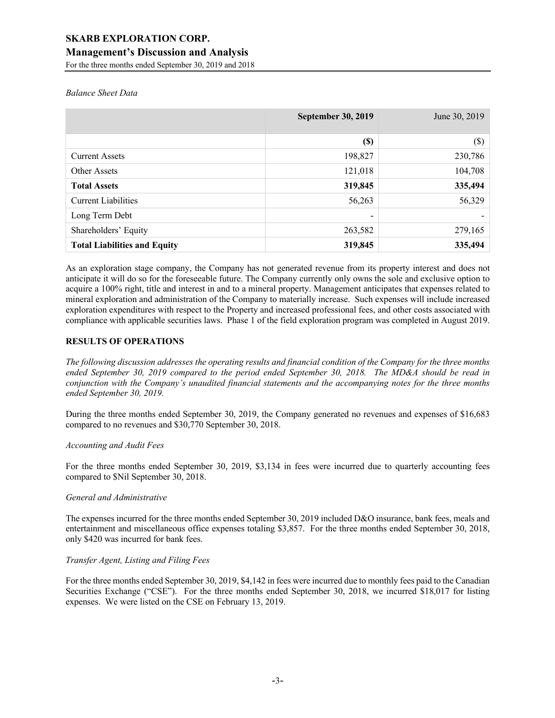# **Management's Discussion and Analysis**

For the three months ended September 30, 2019 and 2018

## *Balance Sheet Data*

|                                     | <b>September 30, 2019</b>  | June 30, 2019 |
|-------------------------------------|----------------------------|---------------|
|                                     | $\left( \mathbb{S}\right)$ | $(\$\)$       |
| <b>Current Assets</b>               | 198,827                    | 230,786       |
| Other Assets                        | 121,018                    | 104,708       |
| <b>Total Assets</b>                 | 319,845                    | 335,494       |
| <b>Current Liabilities</b>          | 56,263                     | 56,329        |
| Long Term Debt                      | -                          |               |
| Shareholders' Equity                | 263,582                    | 279,165       |
| <b>Total Liabilities and Equity</b> | 319,845                    | 335,494       |

As an exploration stage company, the Company has not generated revenue from its property interest and does not anticipate it will do so for the foreseeable future. The Company currently only owns the sole and exclusive option to acquire a 100% right, title and interest in and to a mineral property. Management anticipates that expenses related to mineral exploration and administration of the Company to materially increase. Such expenses will include increased exploration expenditures with respect to the Property and increased professional fees, and other costs associated with compliance with applicable securities laws. Phase 1 of the field exploration program was completed in August 2019.

# **RESULTS OF OPERATIONS**

*The following discussion addresses the operating results and financial condition of the Company for the three months ended September 30, 2019 compared to the period ended September 30, 2018. The MD&A should be read in conjunction with the Company's unaudited financial statements and the accompanying notes for the three months ended September 30, 2019.*

During the three months ended September 30, 2019, the Company generated no revenues and expenses of \$16,683 compared to no revenues and \$30,770 September 30, 2018.

# *Accounting and Audit Fees*

For the three months ended September 30, 2019, \$3,134 in fees were incurred due to quarterly accounting fees compared to \$Nil September 30, 2018.

# *General and Administrative*

The expenses incurred for the three months ended September 30, 2019 included D&O insurance, bank fees, meals and entertainment and miscellaneous office expenses totaling \$3,857. For the three months ended September 30, 2018, only \$420 was incurred for bank fees.

## *Transfer Agent, Listing and Filing Fees*

For the three months ended September 30, 2019, \$4,142 in fees were incurred due to monthly fees paid to the Canadian Securities Exchange ("CSE"). For the three months ended September 30, 2018, we incurred \$18,017 for listing expenses. We were listed on the CSE on February 13, 2019.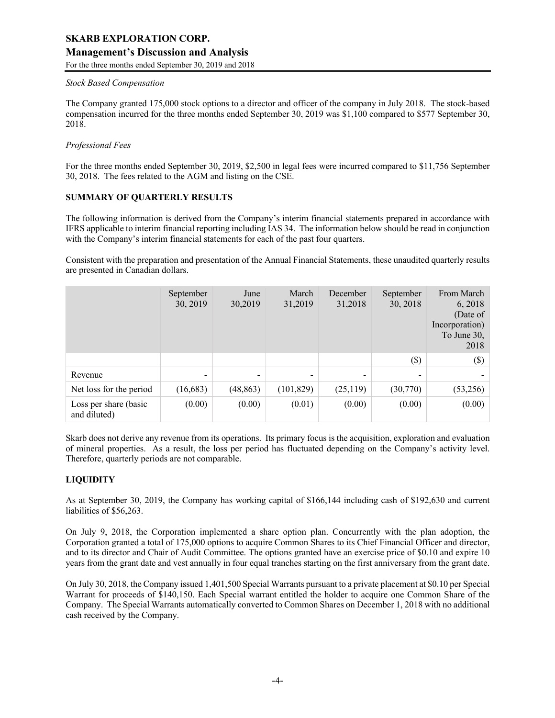# **Management's Discussion and Analysis**

For the three months ended September 30, 2019 and 2018

### *Stock Based Compensation*

The Company granted 175,000 stock options to a director and officer of the company in July 2018. The stock-based compensation incurred for the three months ended September 30, 2019 was \$1,100 compared to \$577 September 30, 2018.

# *Professional Fees*

For the three months ended September 30, 2019, \$2,500 in legal fees were incurred compared to \$11,756 September 30, 2018. The fees related to the AGM and listing on the CSE.

# **SUMMARY OF QUARTERLY RESULTS**

The following information is derived from the Company's interim financial statements prepared in accordance with IFRS applicable to interim financial reporting including IAS 34. The information below should be read in conjunction with the Company's interim financial statements for each of the past four quarters.

Consistent with the preparation and presentation of the Annual Financial Statements, these unaudited quarterly results are presented in Canadian dollars.

|                                       | September<br>30, 2019    | June<br>30,2019 | March<br>31,2019 | December<br>31,2018 | September<br>30, 2018 | From March<br>6, 2018<br>(Date of<br>Incorporation)<br>To June 30,<br>2018 |
|---------------------------------------|--------------------------|-----------------|------------------|---------------------|-----------------------|----------------------------------------------------------------------------|
|                                       |                          |                 |                  |                     | $(\$)$                | $(\$)$                                                                     |
| Revenue                               | $\overline{\phantom{a}}$ | -               |                  |                     | -                     |                                                                            |
| Net loss for the period               | (16,683)                 | (48, 863)       | (101, 829)       | (25,119)            | (30,770)              | (53,256)                                                                   |
| Loss per share (basic<br>and diluted) | (0.00)                   | (0.00)          | (0.01)           | (0.00)              | (0.00)                | (0.00)                                                                     |

Skarb does not derive any revenue from its operations. Its primary focus is the acquisition, exploration and evaluation of mineral properties. As a result, the loss per period has fluctuated depending on the Company's activity level. Therefore, quarterly periods are not comparable.

# **LIQUIDITY**

As at September 30, 2019, the Company has working capital of \$166,144 including cash of \$192,630 and current liabilities of \$56,263.

On July 9, 2018, the Corporation implemented a share option plan. Concurrently with the plan adoption, the Corporation granted a total of 175,000 options to acquire Common Shares to its Chief Financial Officer and director, and to its director and Chair of Audit Committee. The options granted have an exercise price of \$0.10 and expire 10 years from the grant date and vest annually in four equal tranches starting on the first anniversary from the grant date.

On July 30, 2018, the Company issued 1,401,500 Special Warrants pursuant to a private placement at \$0.10 per Special Warrant for proceeds of \$140,150. Each Special warrant entitled the holder to acquire one Common Share of the Company. The Special Warrants automatically converted to Common Shares on December 1, 2018 with no additional cash received by the Company.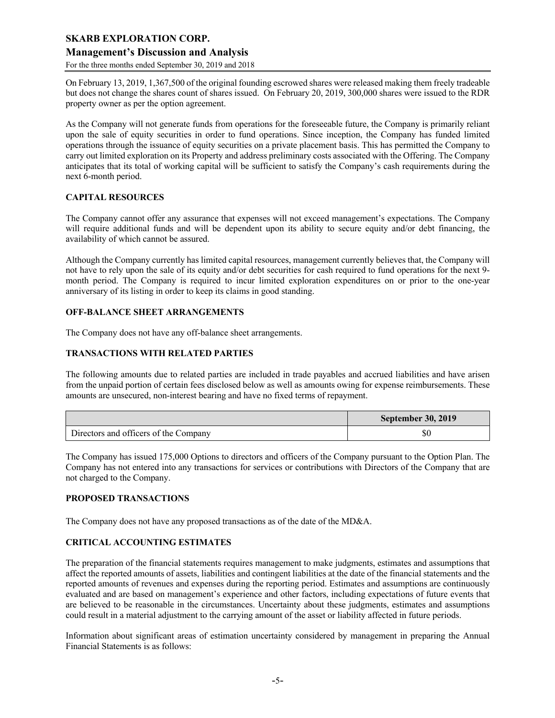# **Management's Discussion and Analysis**

For the three months ended September 30, 2019 and 2018

On February 13, 2019, 1,367,500 of the original founding escrowed shares were released making them freely tradeable but does not change the shares count of shares issued. On February 20, 2019, 300,000 shares were issued to the RDR property owner as per the option agreement.

As the Company will not generate funds from operations for the foreseeable future, the Company is primarily reliant upon the sale of equity securities in order to fund operations. Since inception, the Company has funded limited operations through the issuance of equity securities on a private placement basis. This has permitted the Company to carry out limited exploration on its Property and address preliminary costs associated with the Offering. The Company anticipates that its total of working capital will be sufficient to satisfy the Company's cash requirements during the next 6-month period.

# **CAPITAL RESOURCES**

The Company cannot offer any assurance that expenses will not exceed management's expectations. The Company will require additional funds and will be dependent upon its ability to secure equity and/or debt financing, the availability of which cannot be assured.

Although the Company currently has limited capital resources, management currently believes that, the Company will not have to rely upon the sale of its equity and/or debt securities for cash required to fund operations for the next 9 month period. The Company is required to incur limited exploration expenditures on or prior to the one-year anniversary of its listing in order to keep its claims in good standing.

# **OFF-BALANCE SHEET ARRANGEMENTS**

The Company does not have any off-balance sheet arrangements.

# **TRANSACTIONS WITH RELATED PARTIES**

The following amounts due to related parties are included in trade payables and accrued liabilities and have arisen from the unpaid portion of certain fees disclosed below as well as amounts owing for expense reimbursements. These amounts are unsecured, non-interest bearing and have no fixed terms of repayment.

|                                       | <b>September 30, 2019</b> |
|---------------------------------------|---------------------------|
| Directors and officers of the Company | \$0                       |

The Company has issued 175,000 Options to directors and officers of the Company pursuant to the Option Plan. The Company has not entered into any transactions for services or contributions with Directors of the Company that are not charged to the Company.

# **PROPOSED TRANSACTIONS**

The Company does not have any proposed transactions as of the date of the MD&A.

# **CRITICAL ACCOUNTING ESTIMATES**

The preparation of the financial statements requires management to make judgments, estimates and assumptions that affect the reported amounts of assets, liabilities and contingent liabilities at the date of the financial statements and the reported amounts of revenues and expenses during the reporting period. Estimates and assumptions are continuously evaluated and are based on management's experience and other factors, including expectations of future events that are believed to be reasonable in the circumstances. Uncertainty about these judgments, estimates and assumptions could result in a material adjustment to the carrying amount of the asset or liability affected in future periods.

Information about significant areas of estimation uncertainty considered by management in preparing the Annual Financial Statements is as follows: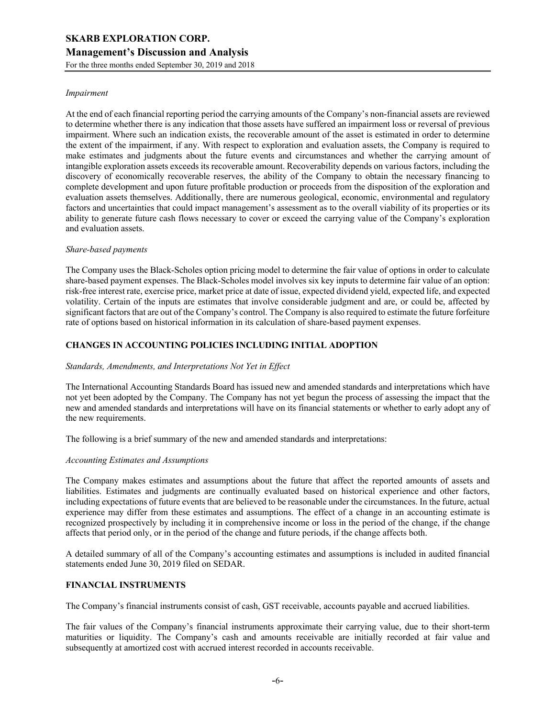#### *Impairment*

At the end of each financial reporting period the carrying amounts of the Company's non-financial assets are reviewed to determine whether there is any indication that those assets have suffered an impairment loss or reversal of previous impairment. Where such an indication exists, the recoverable amount of the asset is estimated in order to determine the extent of the impairment, if any. With respect to exploration and evaluation assets, the Company is required to make estimates and judgments about the future events and circumstances and whether the carrying amount of intangible exploration assets exceeds its recoverable amount. Recoverability depends on various factors, including the discovery of economically recoverable reserves, the ability of the Company to obtain the necessary financing to complete development and upon future profitable production or proceeds from the disposition of the exploration and evaluation assets themselves. Additionally, there are numerous geological, economic, environmental and regulatory factors and uncertainties that could impact management's assessment as to the overall viability of its properties or its ability to generate future cash flows necessary to cover or exceed the carrying value of the Company's exploration and evaluation assets.

### *Share-based payments*

The Company uses the Black-Scholes option pricing model to determine the fair value of options in order to calculate share-based payment expenses. The Black-Scholes model involves six key inputs to determine fair value of an option: risk-free interest rate, exercise price, market price at date of issue, expected dividend yield, expected life, and expected volatility. Certain of the inputs are estimates that involve considerable judgment and are, or could be, affected by significant factors that are out of the Company's control. The Company is also required to estimate the future forfeiture rate of options based on historical information in its calculation of share-based payment expenses.

# **CHANGES IN ACCOUNTING POLICIES INCLUDING INITIAL ADOPTION**

#### *Standards, Amendments, and Interpretations Not Yet in Effect*

The International Accounting Standards Board has issued new and amended standards and interpretations which have not yet been adopted by the Company. The Company has not yet begun the process of assessing the impact that the new and amended standards and interpretations will have on its financial statements or whether to early adopt any of the new requirements.

The following is a brief summary of the new and amended standards and interpretations:

#### *Accounting Estimates and Assumptions*

The Company makes estimates and assumptions about the future that affect the reported amounts of assets and liabilities. Estimates and judgments are continually evaluated based on historical experience and other factors, including expectations of future events that are believed to be reasonable under the circumstances. In the future, actual experience may differ from these estimates and assumptions. The effect of a change in an accounting estimate is recognized prospectively by including it in comprehensive income or loss in the period of the change, if the change affects that period only, or in the period of the change and future periods, if the change affects both.

A detailed summary of all of the Company's accounting estimates and assumptions is included in audited financial statements ended June 30, 2019 filed on SEDAR.

#### **FINANCIAL INSTRUMENTS**

The Company's financial instruments consist of cash, GST receivable, accounts payable and accrued liabilities.

The fair values of the Company's financial instruments approximate their carrying value, due to their short-term maturities or liquidity. The Company's cash and amounts receivable are initially recorded at fair value and subsequently at amortized cost with accrued interest recorded in accounts receivable.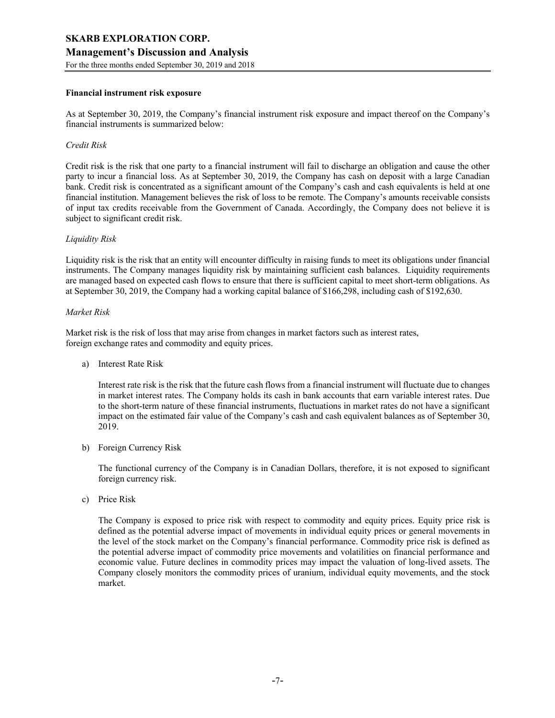# **SKARB EXPLORATION CORP. Management's Discussion and Analysis**

For the three months ended September 30, 2019 and 2018

#### **Financial instrument risk exposure**

As at September 30, 2019, the Company's financial instrument risk exposure and impact thereof on the Company's financial instruments is summarized below:

## *Credit Risk*

Credit risk is the risk that one party to a financial instrument will fail to discharge an obligation and cause the other party to incur a financial loss. As at September 30, 2019, the Company has cash on deposit with a large Canadian bank. Credit risk is concentrated as a significant amount of the Company's cash and cash equivalents is held at one financial institution. Management believes the risk of loss to be remote. The Company's amounts receivable consists of input tax credits receivable from the Government of Canada. Accordingly, the Company does not believe it is subject to significant credit risk.

#### *Liquidity Risk*

Liquidity risk is the risk that an entity will encounter difficulty in raising funds to meet its obligations under financial instruments. The Company manages liquidity risk by maintaining sufficient cash balances. Liquidity requirements are managed based on expected cash flows to ensure that there is sufficient capital to meet short-term obligations. As at September 30, 2019, the Company had a working capital balance of \$166,298, including cash of \$192,630.

#### *Market Risk*

Market risk is the risk of loss that may arise from changes in market factors such as interest rates, foreign exchange rates and commodity and equity prices.

a) Interest Rate Risk

Interest rate risk is the risk that the future cash flows from a financial instrument will fluctuate due to changes in market interest rates. The Company holds its cash in bank accounts that earn variable interest rates. Due to the short-term nature of these financial instruments, fluctuations in market rates do not have a significant impact on the estimated fair value of the Company's cash and cash equivalent balances as of September 30, 2019.

b) Foreign Currency Risk

The functional currency of the Company is in Canadian Dollars, therefore, it is not exposed to significant foreign currency risk.

c) Price Risk

The Company is exposed to price risk with respect to commodity and equity prices. Equity price risk is defined as the potential adverse impact of movements in individual equity prices or general movements in the level of the stock market on the Company's financial performance. Commodity price risk is defined as the potential adverse impact of commodity price movements and volatilities on financial performance and economic value. Future declines in commodity prices may impact the valuation of long-lived assets. The Company closely monitors the commodity prices of uranium, individual equity movements, and the stock market.